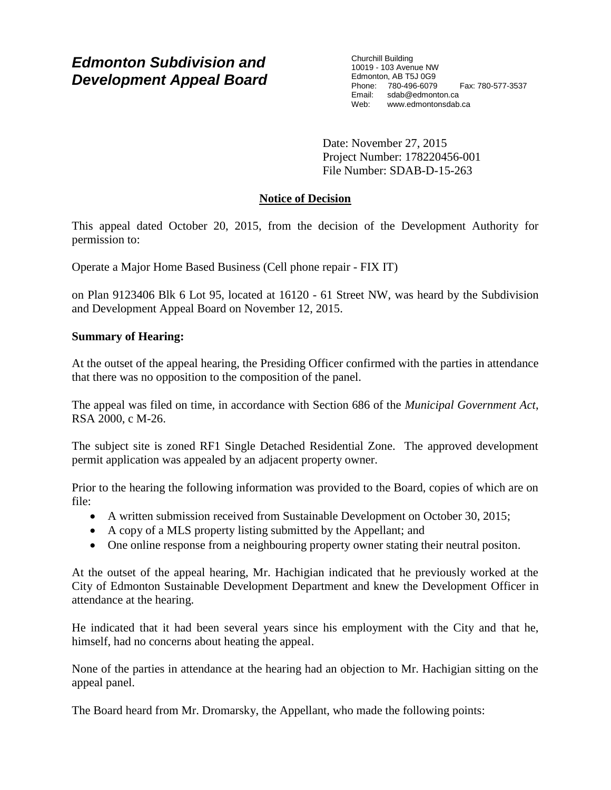# *Edmonton Subdivision and Development Appeal Board*

Churchill Building 10019 - 103 Avenue NW Edmonton, AB T5J 0G9 Phone: 780-496-6079 Fax: 780-577-3537 Email: sdab@edmonton.ca<br>Web: www.edmonton.ca Web: www.edmontonsdab.ca

Date: November 27, 2015 Project Number: 178220456-001 File Number: SDAB-D-15-263

## **Notice of Decision**

This appeal dated October 20, 2015, from the decision of the Development Authority for permission to:

Operate a Major Home Based Business (Cell phone repair - FIX IT)

on Plan 9123406 Blk 6 Lot 95, located at 16120 - 61 Street NW, was heard by the Subdivision and Development Appeal Board on November 12, 2015.

## **Summary of Hearing:**

At the outset of the appeal hearing, the Presiding Officer confirmed with the parties in attendance that there was no opposition to the composition of the panel.

The appeal was filed on time, in accordance with Section 686 of the *Municipal Government Act*, RSA 2000, c M-26.

The subject site is zoned RF1 Single Detached Residential Zone. The approved development permit application was appealed by an adjacent property owner.

Prior to the hearing the following information was provided to the Board, copies of which are on file:

- A written submission received from Sustainable Development on October 30, 2015;
- A copy of a MLS property listing submitted by the Appellant; and
- One online response from a neighbouring property owner stating their neutral positon.

At the outset of the appeal hearing, Mr. Hachigian indicated that he previously worked at the City of Edmonton Sustainable Development Department and knew the Development Officer in attendance at the hearing.

He indicated that it had been several years since his employment with the City and that he, himself, had no concerns about heating the appeal.

None of the parties in attendance at the hearing had an objection to Mr. Hachigian sitting on the appeal panel.

The Board heard from Mr. Dromarsky, the Appellant, who made the following points: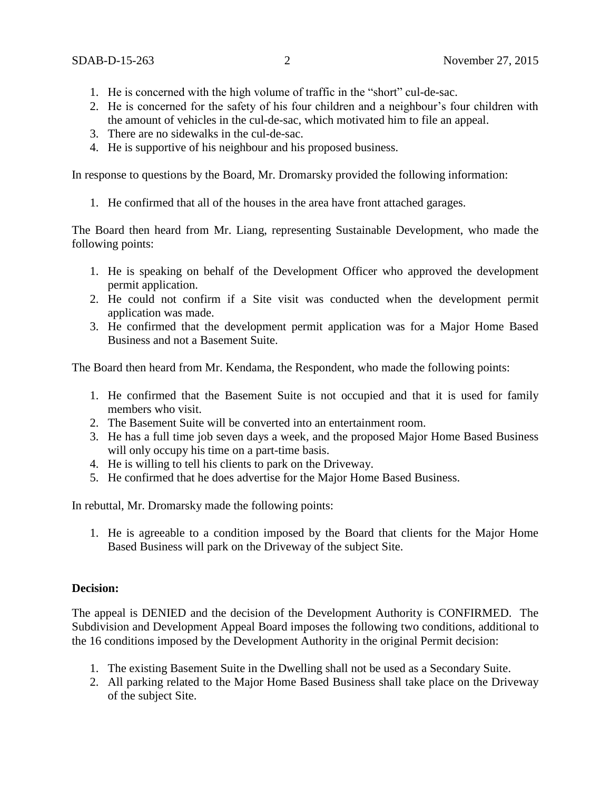- 1. He is concerned with the high volume of traffic in the "short" cul-de-sac.
- 2. He is concerned for the safety of his four children and a neighbour's four children with the amount of vehicles in the cul-de-sac, which motivated him to file an appeal.
- 3. There are no sidewalks in the cul-de-sac.
- 4. He is supportive of his neighbour and his proposed business.

In response to questions by the Board, Mr. Dromarsky provided the following information:

1. He confirmed that all of the houses in the area have front attached garages.

The Board then heard from Mr. Liang, representing Sustainable Development, who made the following points:

- 1. He is speaking on behalf of the Development Officer who approved the development permit application.
- 2. He could not confirm if a Site visit was conducted when the development permit application was made.
- 3. He confirmed that the development permit application was for a Major Home Based Business and not a Basement Suite.

The Board then heard from Mr. Kendama, the Respondent, who made the following points:

- 1. He confirmed that the Basement Suite is not occupied and that it is used for family members who visit.
- 2. The Basement Suite will be converted into an entertainment room.
- 3. He has a full time job seven days a week, and the proposed Major Home Based Business will only occupy his time on a part-time basis.
- 4. He is willing to tell his clients to park on the Driveway.
- 5. He confirmed that he does advertise for the Major Home Based Business.

In rebuttal, Mr. Dromarsky made the following points:

1. He is agreeable to a condition imposed by the Board that clients for the Major Home Based Business will park on the Driveway of the subject Site.

#### **Decision:**

The appeal is DENIED and the decision of the Development Authority is CONFIRMED. The Subdivision and Development Appeal Board imposes the following two conditions, additional to the 16 conditions imposed by the Development Authority in the original Permit decision:

- 1. The existing Basement Suite in the Dwelling shall not be used as a Secondary Suite.
- 2. All parking related to the Major Home Based Business shall take place on the Driveway of the subject Site.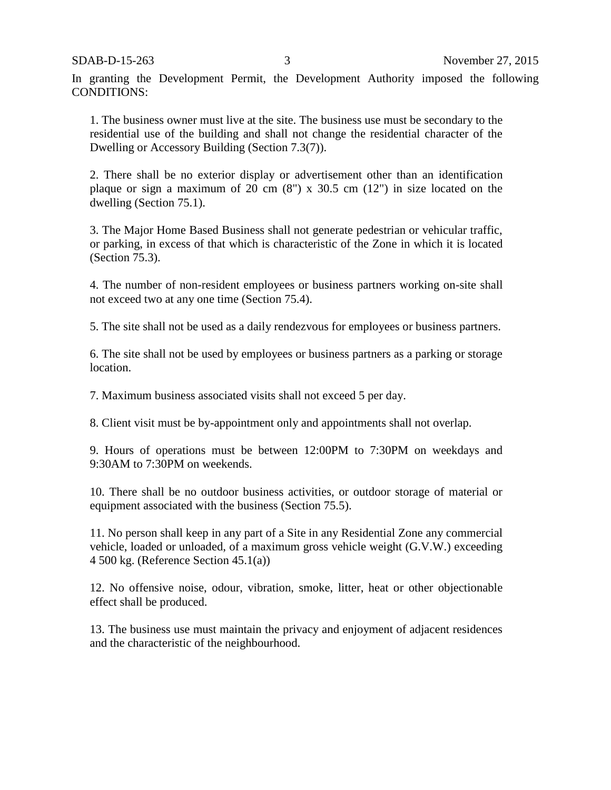In granting the Development Permit, the Development Authority imposed the following CONDITIONS:

1. The business owner must live at the site. The business use must be secondary to the residential use of the building and shall not change the residential character of the Dwelling or Accessory Building (Section 7.3(7)).

2. There shall be no exterior display or advertisement other than an identification plaque or sign a maximum of 20 cm  $(8)$  x 30.5 cm  $(12)$  in size located on the dwelling (Section 75.1).

3. The Major Home Based Business shall not generate pedestrian or vehicular traffic, or parking, in excess of that which is characteristic of the Zone in which it is located (Section 75.3).

4. The number of non-resident employees or business partners working on-site shall not exceed two at any one time (Section 75.4).

5. The site shall not be used as a daily rendezvous for employees or business partners.

6. The site shall not be used by employees or business partners as a parking or storage location.

7. Maximum business associated visits shall not exceed 5 per day.

8. Client visit must be by-appointment only and appointments shall not overlap.

9. Hours of operations must be between 12:00PM to 7:30PM on weekdays and 9:30AM to 7:30PM on weekends.

10. There shall be no outdoor business activities, or outdoor storage of material or equipment associated with the business (Section 75.5).

11. No person shall keep in any part of a Site in any Residential Zone any commercial vehicle, loaded or unloaded, of a maximum gross vehicle weight (G.V.W.) exceeding 4 500 kg. (Reference Section 45.1(a))

12. No offensive noise, odour, vibration, smoke, litter, heat or other objectionable effect shall be produced.

13. The business use must maintain the privacy and enjoyment of adjacent residences and the characteristic of the neighbourhood.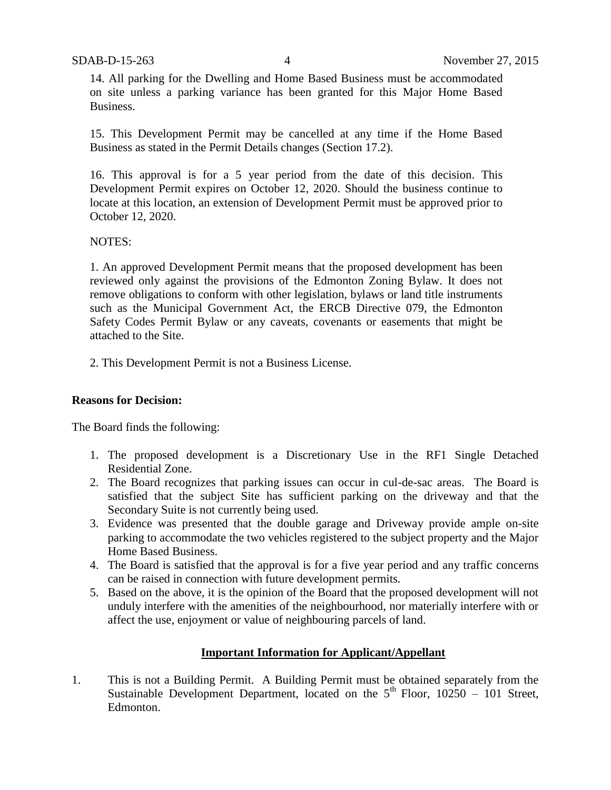14. All parking for the Dwelling and Home Based Business must be accommodated on site unless a parking variance has been granted for this Major Home Based Business.

15. This Development Permit may be cancelled at any time if the Home Based Business as stated in the Permit Details changes (Section 17.2).

16. This approval is for a 5 year period from the date of this decision. This Development Permit expires on October 12, 2020. Should the business continue to locate at this location, an extension of Development Permit must be approved prior to October 12, 2020.

#### NOTES:

1. An approved Development Permit means that the proposed development has been reviewed only against the provisions of the Edmonton Zoning Bylaw. It does not remove obligations to conform with other legislation, bylaws or land title instruments such as the Municipal Government Act, the ERCB Directive 079, the Edmonton Safety Codes Permit Bylaw or any caveats, covenants or easements that might be attached to the Site.

2. This Development Permit is not a Business License.

### **Reasons for Decision:**

The Board finds the following:

- 1. The proposed development is a Discretionary Use in the RF1 Single Detached Residential Zone.
- 2. The Board recognizes that parking issues can occur in cul-de-sac areas. The Board is satisfied that the subject Site has sufficient parking on the driveway and that the Secondary Suite is not currently being used.
- 3. Evidence was presented that the double garage and Driveway provide ample on-site parking to accommodate the two vehicles registered to the subject property and the Major Home Based Business.
- 4. The Board is satisfied that the approval is for a five year period and any traffic concerns can be raised in connection with future development permits.
- 5. Based on the above, it is the opinion of the Board that the proposed development will not unduly interfere with the amenities of the neighbourhood, nor materially interfere with or affect the use, enjoyment or value of neighbouring parcels of land.

### **Important Information for Applicant/Appellant**

1. This is not a Building Permit. A Building Permit must be obtained separately from the Sustainable Development Department, located on the  $5<sup>th</sup>$  Floor, 10250 – 101 Street, Edmonton.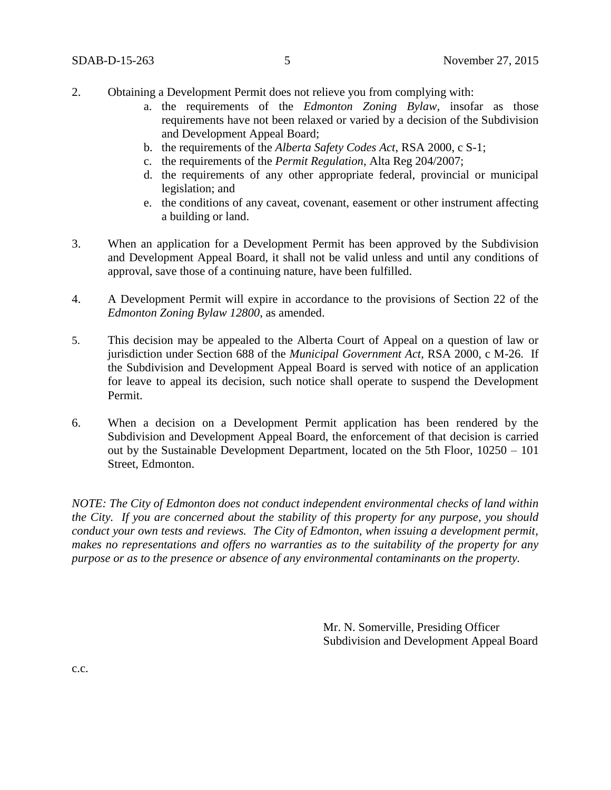- 2. Obtaining a Development Permit does not relieve you from complying with:
	- a. the requirements of the *Edmonton Zoning Bylaw*, insofar as those requirements have not been relaxed or varied by a decision of the Subdivision and Development Appeal Board;
	- b. the requirements of the *Alberta Safety Codes Act*, RSA 2000, c S-1;
	- c. the requirements of the *Permit Regulation*, Alta Reg 204/2007;
	- d. the requirements of any other appropriate federal, provincial or municipal legislation; and
	- e. the conditions of any caveat, covenant, easement or other instrument affecting a building or land.
- 3. When an application for a Development Permit has been approved by the Subdivision and Development Appeal Board, it shall not be valid unless and until any conditions of approval, save those of a continuing nature, have been fulfilled.
- 4. A Development Permit will expire in accordance to the provisions of Section 22 of the *Edmonton Zoning Bylaw 12800*, as amended.
- 5. This decision may be appealed to the Alberta Court of Appeal on a question of law or jurisdiction under Section 688 of the *Municipal Government Act*, RSA 2000, c M-26. If the Subdivision and Development Appeal Board is served with notice of an application for leave to appeal its decision, such notice shall operate to suspend the Development Permit.
- 6. When a decision on a Development Permit application has been rendered by the Subdivision and Development Appeal Board, the enforcement of that decision is carried out by the Sustainable Development Department, located on the 5th Floor, 10250 – 101 Street, Edmonton.

*NOTE: The City of Edmonton does not conduct independent environmental checks of land within the City. If you are concerned about the stability of this property for any purpose, you should conduct your own tests and reviews. The City of Edmonton, when issuing a development permit, makes no representations and offers no warranties as to the suitability of the property for any purpose or as to the presence or absence of any environmental contaminants on the property.*

> Mr. N. Somerville, Presiding Officer Subdivision and Development Appeal Board

c.c.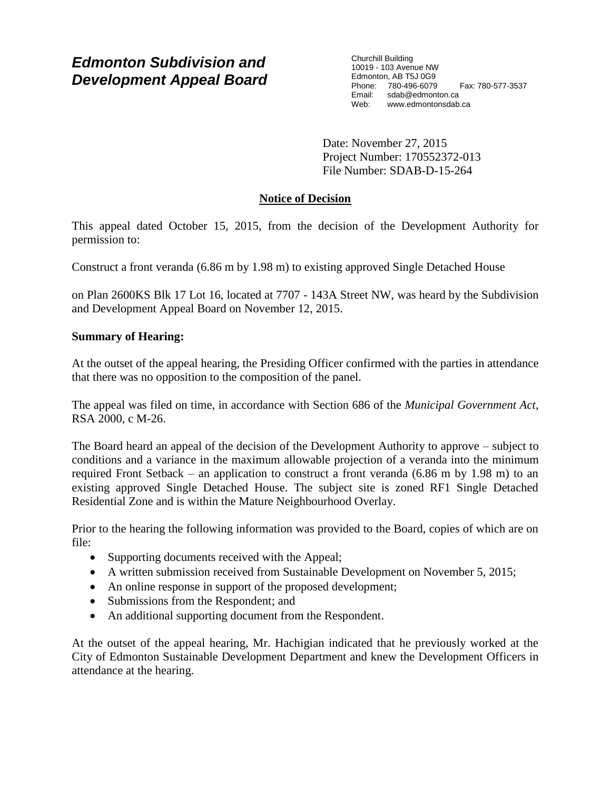# *Edmonton Subdivision and Development Appeal Board*

Churchill Building 10019 - 103 Avenue NW Edmonton, AB T5J 0G9 Phone: 780-496-6079 Fax: 780-577-3537 Email: sdab@edmonton.ca<br>Web: www.edmonton.ca Web: www.edmontonsdab.ca

Date: November 27, 2015 Project Number: 170552372-013 File Number: SDAB-D-15-264

# **Notice of Decision**

This appeal dated October 15, 2015, from the decision of the Development Authority for permission to:

Construct a front veranda (6.86 m by 1.98 m) to existing approved Single Detached House

on Plan 2600KS Blk 17 Lot 16, located at 7707 - 143A Street NW, was heard by the Subdivision and Development Appeal Board on November 12, 2015.

## **Summary of Hearing:**

At the outset of the appeal hearing, the Presiding Officer confirmed with the parties in attendance that there was no opposition to the composition of the panel.

The appeal was filed on time, in accordance with Section 686 of the *Municipal Government Act*, RSA 2000, c M-26.

The Board heard an appeal of the decision of the Development Authority to approve – subject to conditions and a variance in the maximum allowable projection of a veranda into the minimum required Front Setback – an application to construct a front veranda (6.86 m by 1.98 m) to an existing approved Single Detached House. The subject site is zoned RF1 Single Detached Residential Zone and is within the Mature Neighbourhood Overlay.

Prior to the hearing the following information was provided to the Board, copies of which are on file:

- Supporting documents received with the Appeal;
- A written submission received from Sustainable Development on November 5, 2015;
- An online response in support of the proposed development;
- Submissions from the Respondent; and
- An additional supporting document from the Respondent.

At the outset of the appeal hearing, Mr. Hachigian indicated that he previously worked at the City of Edmonton Sustainable Development Department and knew the Development Officers in attendance at the hearing.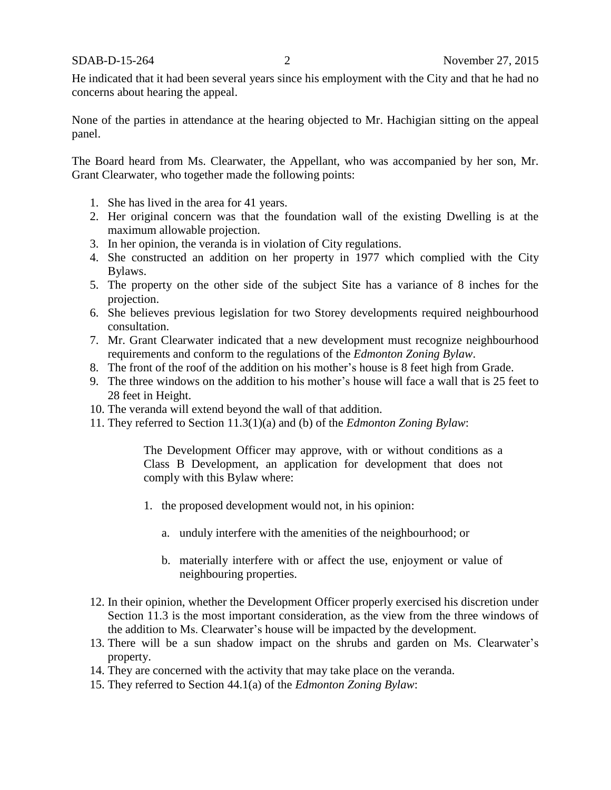He indicated that it had been several years since his employment with the City and that he had no concerns about hearing the appeal.

None of the parties in attendance at the hearing objected to Mr. Hachigian sitting on the appeal panel.

The Board heard from Ms. Clearwater, the Appellant, who was accompanied by her son, Mr. Grant Clearwater, who together made the following points:

- 1. She has lived in the area for 41 years.
- 2. Her original concern was that the foundation wall of the existing Dwelling is at the maximum allowable projection.
- 3. In her opinion, the veranda is in violation of City regulations.
- 4. She constructed an addition on her property in 1977 which complied with the City Bylaws.
- 5. The property on the other side of the subject Site has a variance of 8 inches for the projection.
- 6. She believes previous legislation for two Storey developments required neighbourhood consultation.
- 7. Mr. Grant Clearwater indicated that a new development must recognize neighbourhood requirements and conform to the regulations of the *Edmonton Zoning Bylaw*.
- 8. The front of the roof of the addition on his mother's house is 8 feet high from Grade.
- 9. The three windows on the addition to his mother's house will face a wall that is 25 feet to 28 feet in Height.
- 10. The veranda will extend beyond the wall of that addition.
- 11. They referred to Section 11.3(1)(a) and (b) of the *Edmonton Zoning Bylaw*:

The Development Officer may approve, with or without conditions as a Class B Development, an application for development that does not comply with this Bylaw where:

- 1. the proposed development would not, in his opinion:
	- a. unduly interfere with the amenities of the neighbourhood; or
	- b. materially interfere with or affect the use, enjoyment or value of neighbouring properties.
- 12. In their opinion, whether the Development Officer properly exercised his discretion under Section 11.3 is the most important consideration, as the view from the three windows of the addition to Ms. Clearwater's house will be impacted by the development.
- 13. There will be a sun shadow impact on the shrubs and garden on Ms. Clearwater's property.
- 14. They are concerned with the activity that may take place on the veranda.
- 15. They referred to Section 44.1(a) of the *Edmonton Zoning Bylaw*: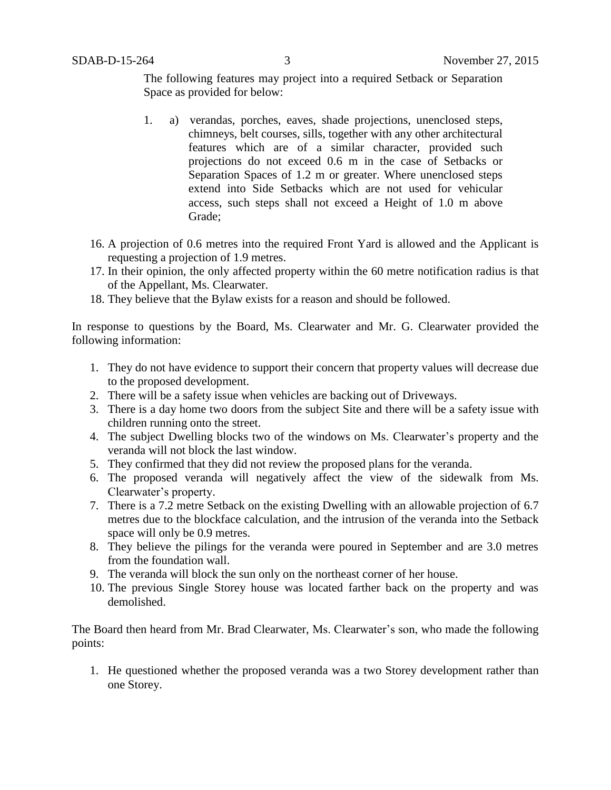The following features may project into a required Setback or Separation Space as provided for below:

- 1. a) verandas, porches, eaves, shade projections, unenclosed steps, chimneys, belt courses, sills, together with any other architectural features which are of a similar character, provided such projections do not exceed 0.6 m in the case of Setbacks or Separation Spaces of 1.2 m or greater. Where unenclosed steps extend into Side Setbacks which are not used for vehicular access, such steps shall not exceed a Height of 1.0 m above Grade;
- 16. A projection of 0.6 metres into the required Front Yard is allowed and the Applicant is requesting a projection of 1.9 metres.
- 17. In their opinion, the only affected property within the 60 metre notification radius is that of the Appellant, Ms. Clearwater.
- 18. They believe that the Bylaw exists for a reason and should be followed.

In response to questions by the Board, Ms. Clearwater and Mr. G. Clearwater provided the following information:

- 1. They do not have evidence to support their concern that property values will decrease due to the proposed development.
- 2. There will be a safety issue when vehicles are backing out of Driveways.
- 3. There is a day home two doors from the subject Site and there will be a safety issue with children running onto the street.
- 4. The subject Dwelling blocks two of the windows on Ms. Clearwater's property and the veranda will not block the last window.
- 5. They confirmed that they did not review the proposed plans for the veranda.
- 6. The proposed veranda will negatively affect the view of the sidewalk from Ms. Clearwater's property.
- 7. There is a 7.2 metre Setback on the existing Dwelling with an allowable projection of 6.7 metres due to the blockface calculation, and the intrusion of the veranda into the Setback space will only be 0.9 metres.
- 8. They believe the pilings for the veranda were poured in September and are 3.0 metres from the foundation wall.
- 9. The veranda will block the sun only on the northeast corner of her house.
- 10. The previous Single Storey house was located farther back on the property and was demolished.

The Board then heard from Mr. Brad Clearwater, Ms. Clearwater's son, who made the following points:

1. He questioned whether the proposed veranda was a two Storey development rather than one Storey.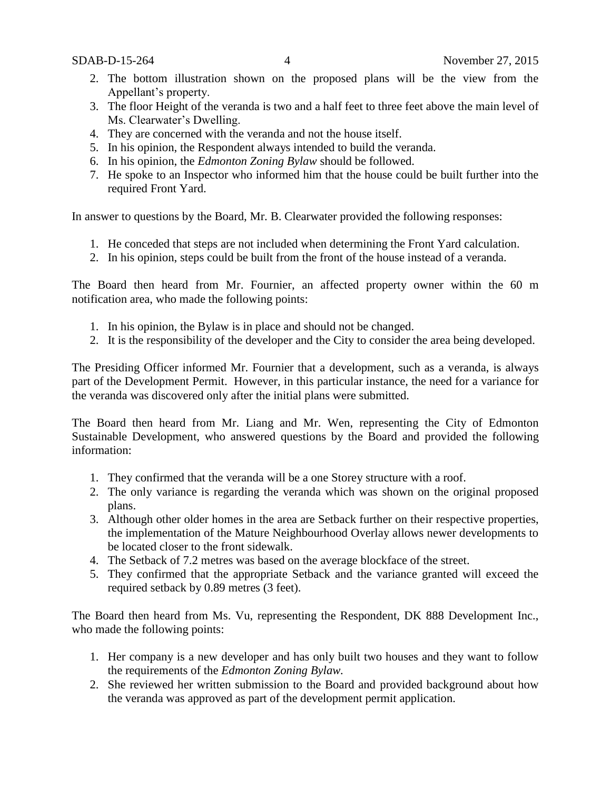- 2. The bottom illustration shown on the proposed plans will be the view from the Appellant's property.
- 3. The floor Height of the veranda is two and a half feet to three feet above the main level of Ms. Clearwater's Dwelling.
- 4. They are concerned with the veranda and not the house itself.
- 5. In his opinion, the Respondent always intended to build the veranda.
- 6. In his opinion, the *Edmonton Zoning Bylaw* should be followed.
- 7. He spoke to an Inspector who informed him that the house could be built further into the required Front Yard.

In answer to questions by the Board, Mr. B. Clearwater provided the following responses:

- 1. He conceded that steps are not included when determining the Front Yard calculation.
- 2. In his opinion, steps could be built from the front of the house instead of a veranda.

The Board then heard from Mr. Fournier, an affected property owner within the 60 m notification area, who made the following points:

- 1. In his opinion, the Bylaw is in place and should not be changed.
- 2. It is the responsibility of the developer and the City to consider the area being developed.

The Presiding Officer informed Mr. Fournier that a development, such as a veranda, is always part of the Development Permit. However, in this particular instance, the need for a variance for the veranda was discovered only after the initial plans were submitted.

The Board then heard from Mr. Liang and Mr. Wen, representing the City of Edmonton Sustainable Development, who answered questions by the Board and provided the following information:

- 1. They confirmed that the veranda will be a one Storey structure with a roof.
- 2. The only variance is regarding the veranda which was shown on the original proposed plans.
- 3. Although other older homes in the area are Setback further on their respective properties, the implementation of the Mature Neighbourhood Overlay allows newer developments to be located closer to the front sidewalk.
- 4. The Setback of 7.2 metres was based on the average blockface of the street.
- 5. They confirmed that the appropriate Setback and the variance granted will exceed the required setback by 0.89 metres (3 feet).

The Board then heard from Ms. Vu, representing the Respondent, DK 888 Development Inc., who made the following points:

- 1. Her company is a new developer and has only built two houses and they want to follow the requirements of the *Edmonton Zoning Bylaw.*
- 2. She reviewed her written submission to the Board and provided background about how the veranda was approved as part of the development permit application.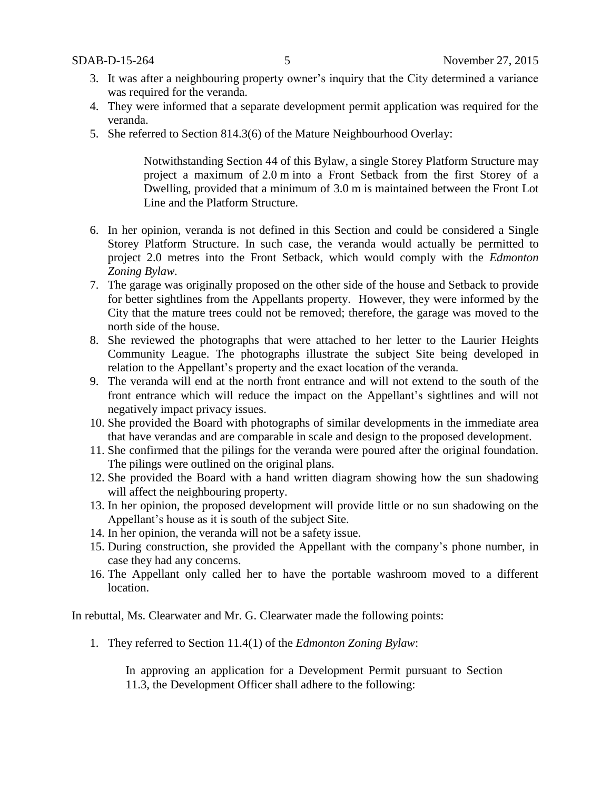- 3. It was after a neighbouring property owner's inquiry that the City determined a variance was required for the veranda.
- 4. They were informed that a separate development permit application was required for the veranda.
- 5. She referred to Section 814.3(6) of the Mature Neighbourhood Overlay:

Notwithstanding Section 44 of this Bylaw, a single Storey Platform Structure may project a maximum of [2.0](javascript:void(0);) m into a Front Setback from the first Storey of a Dwelling, provided that a minimum of [3.0](javascript:void(0);) m is maintained between the Front Lot Line and the Platform Structure.

- 6. In her opinion, veranda is not defined in this Section and could be considered a Single Storey Platform Structure. In such case, the veranda would actually be permitted to project 2.0 metres into the Front Setback, which would comply with the *Edmonton Zoning Bylaw.*
- 7. The garage was originally proposed on the other side of the house and Setback to provide for better sightlines from the Appellants property. However, they were informed by the City that the mature trees could not be removed; therefore, the garage was moved to the north side of the house.
- 8. She reviewed the photographs that were attached to her letter to the Laurier Heights Community League. The photographs illustrate the subject Site being developed in relation to the Appellant's property and the exact location of the veranda.
- 9. The veranda will end at the north front entrance and will not extend to the south of the front entrance which will reduce the impact on the Appellant's sightlines and will not negatively impact privacy issues.
- 10. She provided the Board with photographs of similar developments in the immediate area that have verandas and are comparable in scale and design to the proposed development.
- 11. She confirmed that the pilings for the veranda were poured after the original foundation. The pilings were outlined on the original plans.
- 12. She provided the Board with a hand written diagram showing how the sun shadowing will affect the neighbouring property.
- 13. In her opinion, the proposed development will provide little or no sun shadowing on the Appellant's house as it is south of the subject Site.
- 14. In her opinion, the veranda will not be a safety issue.
- 15. During construction, she provided the Appellant with the company's phone number, in case they had any concerns.
- 16. The Appellant only called her to have the portable washroom moved to a different location.

In rebuttal, Ms. Clearwater and Mr. G. Clearwater made the following points:

1. They referred to Section 11.4(1) of the *Edmonton Zoning Bylaw*:

In approving an application for a Development Permit pursuant to Section 11.3, the Development Officer shall adhere to the following: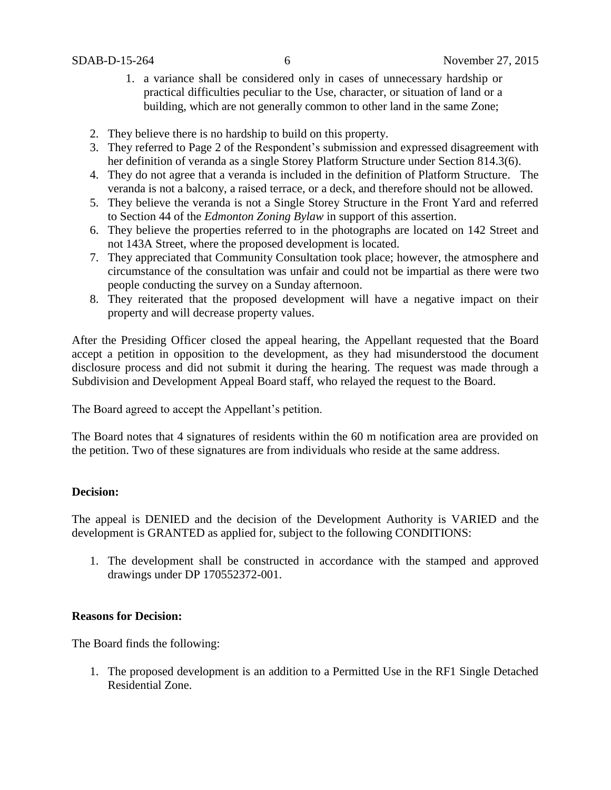- 1. a variance shall be considered only in cases of unnecessary hardship or practical difficulties peculiar to the Use, character, or situation of land or a building, which are not generally common to other land in the same Zone;
- 2. They believe there is no hardship to build on this property.
- 3. They referred to Page 2 of the Respondent's submission and expressed disagreement with her definition of veranda as a single Storey Platform Structure under Section 814.3(6).
- 4. They do not agree that a veranda is included in the definition of Platform Structure. The veranda is not a balcony, a raised terrace, or a deck, and therefore should not be allowed.
- 5. They believe the veranda is not a Single Storey Structure in the Front Yard and referred to Section 44 of the *Edmonton Zoning Bylaw* in support of this assertion.
- 6. They believe the properties referred to in the photographs are located on 142 Street and not 143A Street, where the proposed development is located.
- 7. They appreciated that Community Consultation took place; however, the atmosphere and circumstance of the consultation was unfair and could not be impartial as there were two people conducting the survey on a Sunday afternoon.
- 8. They reiterated that the proposed development will have a negative impact on their property and will decrease property values.

After the Presiding Officer closed the appeal hearing, the Appellant requested that the Board accept a petition in opposition to the development, as they had misunderstood the document disclosure process and did not submit it during the hearing. The request was made through a Subdivision and Development Appeal Board staff, who relayed the request to the Board.

The Board agreed to accept the Appellant's petition.

The Board notes that 4 signatures of residents within the 60 m notification area are provided on the petition. Two of these signatures are from individuals who reside at the same address.

### **Decision:**

The appeal is DENIED and the decision of the Development Authority is VARIED and the development is GRANTED as applied for, subject to the following CONDITIONS:

1. The development shall be constructed in accordance with the stamped and approved drawings under DP 170552372-001.

### **Reasons for Decision:**

The Board finds the following:

1. The proposed development is an addition to a Permitted Use in the RF1 Single Detached Residential Zone.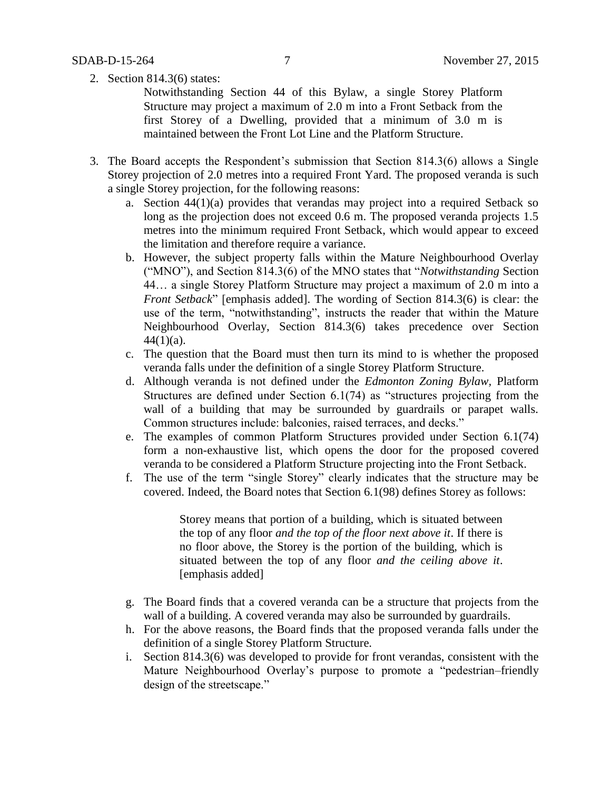2. Section 814.3(6) states:

Notwithstanding Section 44 of this Bylaw, a single Storey Platform Structure may project a maximum of 2.0 m into a Front Setback from the first Storey of a Dwelling, provided that a minimum of 3.0 m is maintained between the Front Lot Line and the Platform Structure.

- 3. The Board accepts the Respondent's submission that Section 814.3(6) allows a Single Storey projection of 2.0 metres into a required Front Yard. The proposed veranda is such a single Storey projection, for the following reasons:
	- a. Section 44(1)(a) provides that verandas may project into a required Setback so long as the projection does not exceed 0.6 m. The proposed veranda projects 1.5 metres into the minimum required Front Setback, which would appear to exceed the limitation and therefore require a variance.
	- b. However, the subject property falls within the Mature Neighbourhood Overlay ("MNO"), and Section 814.3(6) of the MNO states that "*Notwithstanding* Section 44… a single Storey Platform Structure may project a maximum of 2.0 m into a *Front Setback*" [emphasis added]. The wording of Section 814.3(6) is clear: the use of the term, "notwithstanding", instructs the reader that within the Mature Neighbourhood Overlay, Section 814.3(6) takes precedence over Section  $44(1)(a)$ .
	- c. The question that the Board must then turn its mind to is whether the proposed veranda falls under the definition of a single Storey Platform Structure.
	- d. Although veranda is not defined under the *Edmonton Zoning Bylaw,* Platform Structures are defined under Section 6.1(74) as "structures projecting from the wall of a building that may be surrounded by guardrails or parapet walls. Common structures include: balconies, raised terraces, and decks."
	- e. The examples of common Platform Structures provided under Section 6.1(74) form a non-exhaustive list, which opens the door for the proposed covered veranda to be considered a Platform Structure projecting into the Front Setback.
	- f. The use of the term "single Storey" clearly indicates that the structure may be covered. Indeed, the Board notes that Section 6.1(98) defines Storey as follows:

Storey means that portion of a building, which is situated between the top of any floor *and the top of the floor next above it*. If there is no floor above, the Storey is the portion of the building, which is situated between the top of any floor *and the ceiling above it*. [emphasis added]

- g. The Board finds that a covered veranda can be a structure that projects from the wall of a building. A covered veranda may also be surrounded by guardrails.
- h. For the above reasons, the Board finds that the proposed veranda falls under the definition of a single Storey Platform Structure.
- i. Section 814.3(6) was developed to provide for front verandas, consistent with the Mature Neighbourhood Overlay's purpose to promote a "pedestrian–friendly design of the streetscape."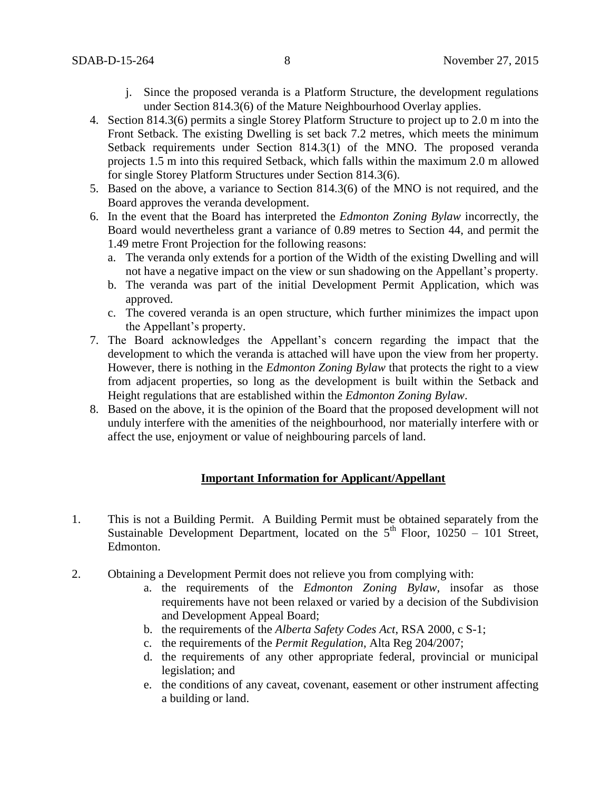- j. Since the proposed veranda is a Platform Structure, the development regulations under Section 814.3(6) of the Mature Neighbourhood Overlay applies.
- 4. Section 814.3(6) permits a single Storey Platform Structure to project up to 2.0 m into the Front Setback. The existing Dwelling is set back 7.2 metres, which meets the minimum Setback requirements under Section 814.3(1) of the MNO. The proposed veranda projects 1.5 m into this required Setback, which falls within the maximum 2.0 m allowed for single Storey Platform Structures under Section 814.3(6).
- 5. Based on the above, a variance to Section 814.3(6) of the MNO is not required, and the Board approves the veranda development.
- 6. In the event that the Board has interpreted the *Edmonton Zoning Bylaw* incorrectly, the Board would nevertheless grant a variance of 0.89 metres to Section 44, and permit the 1.49 metre Front Projection for the following reasons:
	- a. The veranda only extends for a portion of the Width of the existing Dwelling and will not have a negative impact on the view or sun shadowing on the Appellant's property.
	- b. The veranda was part of the initial Development Permit Application, which was approved.
	- c. The covered veranda is an open structure, which further minimizes the impact upon the Appellant's property.
- 7. The Board acknowledges the Appellant's concern regarding the impact that the development to which the veranda is attached will have upon the view from her property. However, there is nothing in the *Edmonton Zoning Bylaw* that protects the right to a view from adjacent properties, so long as the development is built within the Setback and Height regulations that are established within the *Edmonton Zoning Bylaw*.
- 8. Based on the above, it is the opinion of the Board that the proposed development will not unduly interfere with the amenities of the neighbourhood, nor materially interfere with or affect the use, enjoyment or value of neighbouring parcels of land.

### **Important Information for Applicant/Appellant**

- 1. This is not a Building Permit. A Building Permit must be obtained separately from the Sustainable Development Department, located on the  $5<sup>th</sup>$  Floor, 10250 – 101 Street, Edmonton.
- 2. Obtaining a Development Permit does not relieve you from complying with:
	- a. the requirements of the *Edmonton Zoning Bylaw*, insofar as those requirements have not been relaxed or varied by a decision of the Subdivision and Development Appeal Board;
	- b. the requirements of the *Alberta Safety Codes Act*, RSA 2000, c S-1;
	- c. the requirements of the *Permit Regulation*, Alta Reg 204/2007;
	- d. the requirements of any other appropriate federal, provincial or municipal legislation; and
	- e. the conditions of any caveat, covenant, easement or other instrument affecting a building or land.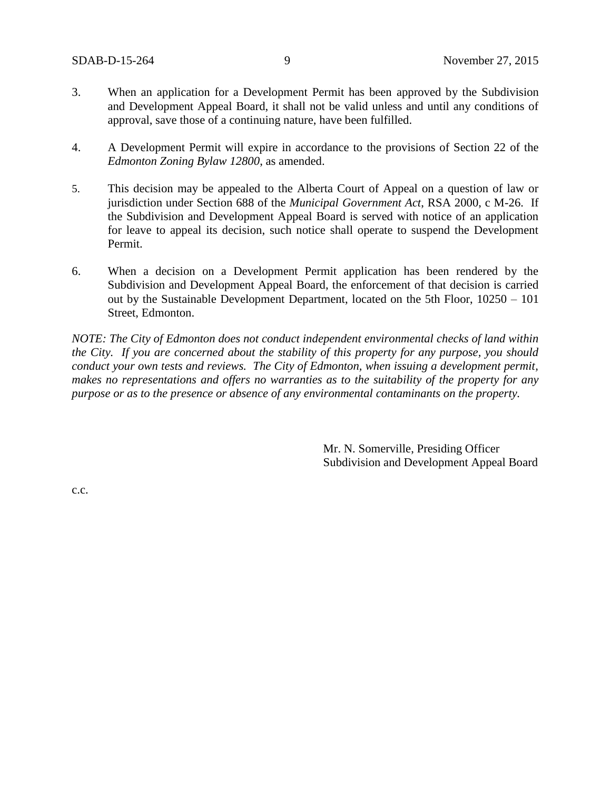- 3. When an application for a Development Permit has been approved by the Subdivision and Development Appeal Board, it shall not be valid unless and until any conditions of approval, save those of a continuing nature, have been fulfilled.
- 4. A Development Permit will expire in accordance to the provisions of Section 22 of the *Edmonton Zoning Bylaw 12800*, as amended.
- 5. This decision may be appealed to the Alberta Court of Appeal on a question of law or jurisdiction under Section 688 of the *Municipal Government Act*, RSA 2000, c M-26. If the Subdivision and Development Appeal Board is served with notice of an application for leave to appeal its decision, such notice shall operate to suspend the Development Permit.
- 6. When a decision on a Development Permit application has been rendered by the Subdivision and Development Appeal Board, the enforcement of that decision is carried out by the Sustainable Development Department, located on the 5th Floor, 10250 – 101 Street, Edmonton.

*NOTE: The City of Edmonton does not conduct independent environmental checks of land within the City. If you are concerned about the stability of this property for any purpose, you should conduct your own tests and reviews. The City of Edmonton, when issuing a development permit, makes no representations and offers no warranties as to the suitability of the property for any purpose or as to the presence or absence of any environmental contaminants on the property.*

> Mr. N. Somerville, Presiding Officer Subdivision and Development Appeal Board

c.c.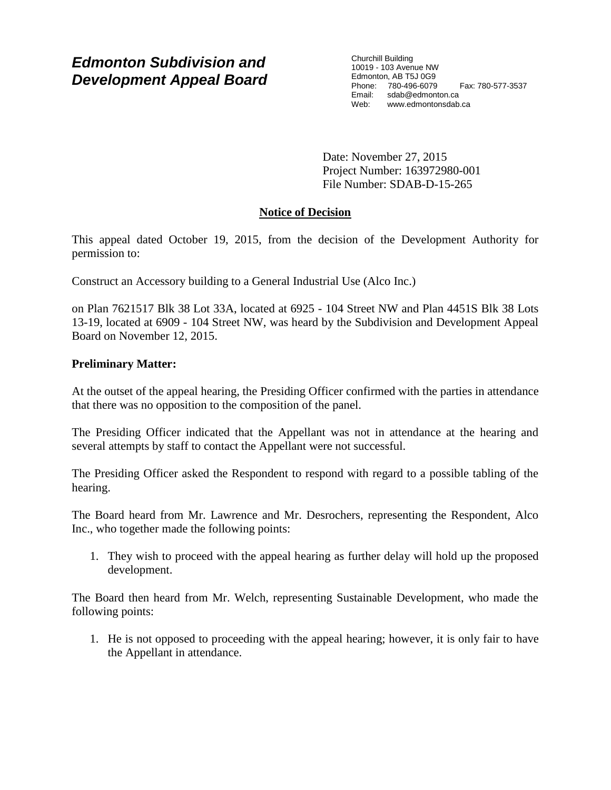# *Edmonton Subdivision and Development Appeal Board*

Churchill Building 10019 - 103 Avenue NW Edmonton, AB T5J 0G9 Phone: 780-496-6079 Fax: 780-577-3537 Email: sdab@edmonton.ca Web: www.edmontonsdab.ca

Date: November 27, 2015 Project Number: 163972980-001 File Number: SDAB-D-15-265

# **Notice of Decision**

This appeal dated October 19, 2015, from the decision of the Development Authority for permission to:

Construct an Accessory building to a General Industrial Use (Alco Inc.)

on Plan 7621517 Blk 38 Lot 33A, located at 6925 - 104 Street NW and Plan 4451S Blk 38 Lots 13-19, located at 6909 - 104 Street NW, was heard by the Subdivision and Development Appeal Board on November 12, 2015.

## **Preliminary Matter:**

At the outset of the appeal hearing, the Presiding Officer confirmed with the parties in attendance that there was no opposition to the composition of the panel.

The Presiding Officer indicated that the Appellant was not in attendance at the hearing and several attempts by staff to contact the Appellant were not successful.

The Presiding Officer asked the Respondent to respond with regard to a possible tabling of the hearing.

The Board heard from Mr. Lawrence and Mr. Desrochers, representing the Respondent, Alco Inc., who together made the following points:

1. They wish to proceed with the appeal hearing as further delay will hold up the proposed development.

The Board then heard from Mr. Welch, representing Sustainable Development, who made the following points:

1. He is not opposed to proceeding with the appeal hearing; however, it is only fair to have the Appellant in attendance.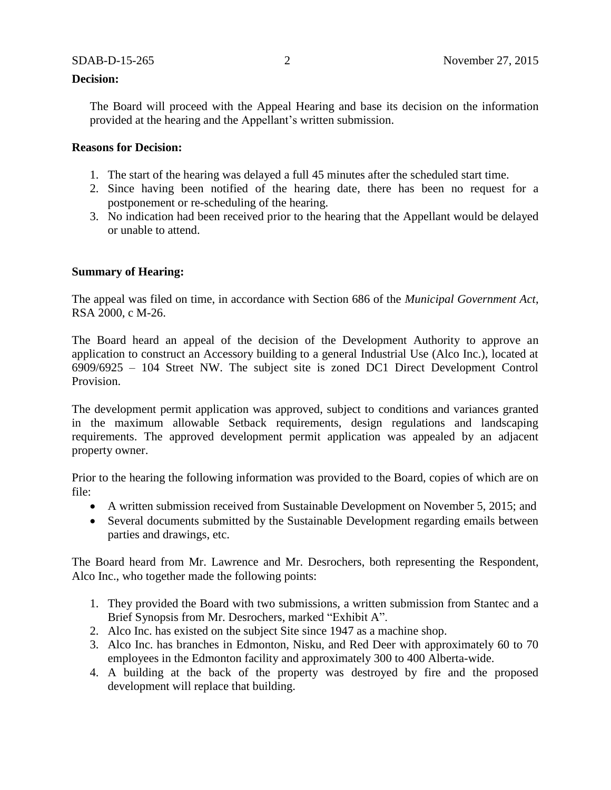#### **Decision:**

The Board will proceed with the Appeal Hearing and base its decision on the information provided at the hearing and the Appellant's written submission.

### **Reasons for Decision:**

- 1. The start of the hearing was delayed a full 45 minutes after the scheduled start time.
- 2. Since having been notified of the hearing date, there has been no request for a postponement or re-scheduling of the hearing.
- 3. No indication had been received prior to the hearing that the Appellant would be delayed or unable to attend.

## **Summary of Hearing:**

The appeal was filed on time, in accordance with Section 686 of the *Municipal Government Act*, RSA 2000, c M-26.

The Board heard an appeal of the decision of the Development Authority to approve an application to construct an Accessory building to a general Industrial Use (Alco Inc.), located at 6909/6925 – 104 Street NW. The subject site is zoned DC1 Direct Development Control Provision.

The development permit application was approved, subject to conditions and variances granted in the maximum allowable Setback requirements, design regulations and landscaping requirements. The approved development permit application was appealed by an adjacent property owner.

Prior to the hearing the following information was provided to the Board, copies of which are on file:

- A written submission received from Sustainable Development on November 5, 2015; and
- Several documents submitted by the Sustainable Development regarding emails between parties and drawings, etc.

The Board heard from Mr. Lawrence and Mr. Desrochers, both representing the Respondent, Alco Inc., who together made the following points:

- 1. They provided the Board with two submissions, a written submission from Stantec and a Brief Synopsis from Mr. Desrochers, marked "Exhibit A".
- 2. Alco Inc. has existed on the subject Site since 1947 as a machine shop.
- 3. Alco Inc. has branches in Edmonton, Nisku, and Red Deer with approximately 60 to 70 employees in the Edmonton facility and approximately 300 to 400 Alberta-wide.
- 4. A building at the back of the property was destroyed by fire and the proposed development will replace that building.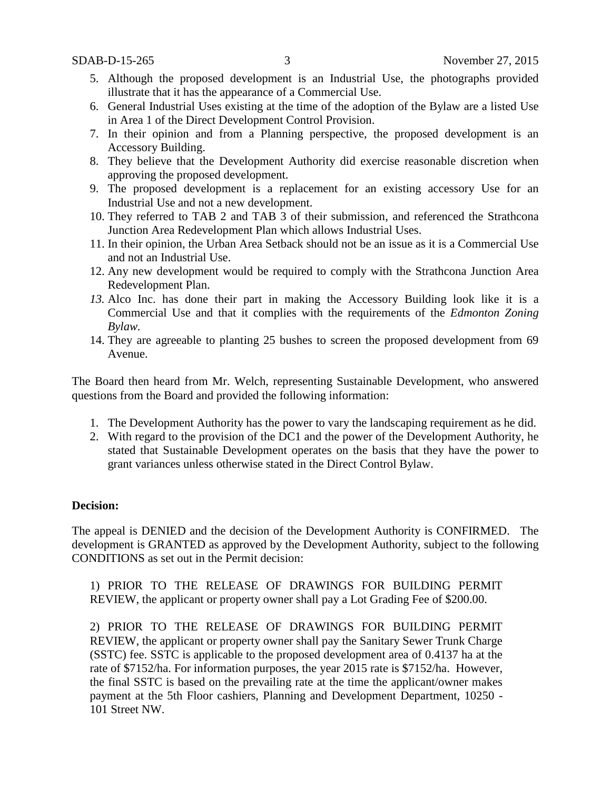- 5. Although the proposed development is an Industrial Use, the photographs provided illustrate that it has the appearance of a Commercial Use.
- 6. General Industrial Uses existing at the time of the adoption of the Bylaw are a listed Use in Area 1 of the Direct Development Control Provision.
- 7. In their opinion and from a Planning perspective, the proposed development is an Accessory Building.
- 8. They believe that the Development Authority did exercise reasonable discretion when approving the proposed development.
- 9. The proposed development is a replacement for an existing accessory Use for an Industrial Use and not a new development.
- 10. They referred to TAB 2 and TAB 3 of their submission, and referenced the Strathcona Junction Area Redevelopment Plan which allows Industrial Uses.
- 11. In their opinion, the Urban Area Setback should not be an issue as it is a Commercial Use and not an Industrial Use.
- 12. Any new development would be required to comply with the Strathcona Junction Area Redevelopment Plan.
- *13.* Alco Inc. has done their part in making the Accessory Building look like it is a Commercial Use and that it complies with the requirements of the *Edmonton Zoning Bylaw.*
- 14. They are agreeable to planting 25 bushes to screen the proposed development from 69 Avenue.

The Board then heard from Mr. Welch, representing Sustainable Development, who answered questions from the Board and provided the following information:

- 1. The Development Authority has the power to vary the landscaping requirement as he did.
- 2. With regard to the provision of the DC1 and the power of the Development Authority, he stated that Sustainable Development operates on the basis that they have the power to grant variances unless otherwise stated in the Direct Control Bylaw.

### **Decision:**

The appeal is DENIED and the decision of the Development Authority is CONFIRMED. The development is GRANTED as approved by the Development Authority, subject to the following CONDITIONS as set out in the Permit decision:

1) PRIOR TO THE RELEASE OF DRAWINGS FOR BUILDING PERMIT REVIEW, the applicant or property owner shall pay a Lot Grading Fee of \$200.00.

2) PRIOR TO THE RELEASE OF DRAWINGS FOR BUILDING PERMIT REVIEW, the applicant or property owner shall pay the Sanitary Sewer Trunk Charge (SSTC) fee. SSTC is applicable to the proposed development area of 0.4137 ha at the rate of \$7152/ha. For information purposes, the year 2015 rate is \$7152/ha. However, the final SSTC is based on the prevailing rate at the time the applicant/owner makes payment at the 5th Floor cashiers, Planning and Development Department, 10250 - 101 Street NW.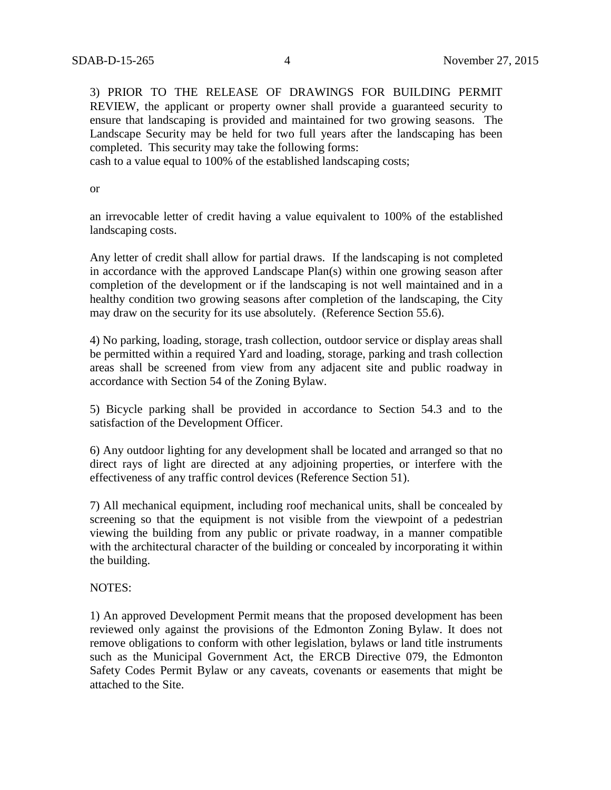3) PRIOR TO THE RELEASE OF DRAWINGS FOR BUILDING PERMIT REVIEW, the applicant or property owner shall provide a guaranteed security to ensure that landscaping is provided and maintained for two growing seasons. The Landscape Security may be held for two full years after the landscaping has been completed. This security may take the following forms:

cash to a value equal to 100% of the established landscaping costs;

or

an irrevocable letter of credit having a value equivalent to 100% of the established landscaping costs.

Any letter of credit shall allow for partial draws. If the landscaping is not completed in accordance with the approved Landscape Plan(s) within one growing season after completion of the development or if the landscaping is not well maintained and in a healthy condition two growing seasons after completion of the landscaping, the City may draw on the security for its use absolutely. (Reference Section 55.6).

4) No parking, loading, storage, trash collection, outdoor service or display areas shall be permitted within a required Yard and loading, storage, parking and trash collection areas shall be screened from view from any adjacent site and public roadway in accordance with Section 54 of the Zoning Bylaw.

5) Bicycle parking shall be provided in accordance to Section 54.3 and to the satisfaction of the Development Officer.

6) Any outdoor lighting for any development shall be located and arranged so that no direct rays of light are directed at any adjoining properties, or interfere with the effectiveness of any traffic control devices (Reference Section 51).

7) All mechanical equipment, including roof mechanical units, shall be concealed by screening so that the equipment is not visible from the viewpoint of a pedestrian viewing the building from any public or private roadway, in a manner compatible with the architectural character of the building or concealed by incorporating it within the building.

#### NOTES:

1) An approved Development Permit means that the proposed development has been reviewed only against the provisions of the Edmonton Zoning Bylaw. It does not remove obligations to conform with other legislation, bylaws or land title instruments such as the Municipal Government Act, the ERCB Directive 079, the Edmonton Safety Codes Permit Bylaw or any caveats, covenants or easements that might be attached to the Site.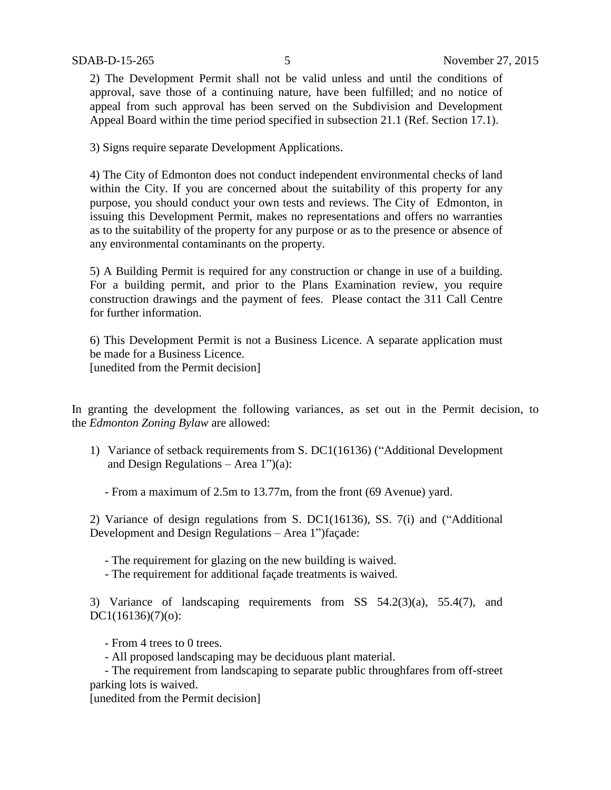2) The Development Permit shall not be valid unless and until the conditions of approval, save those of a continuing nature, have been fulfilled; and no notice of appeal from such approval has been served on the Subdivision and Development Appeal Board within the time period specified in subsection 21.1 (Ref. Section 17.1).

3) Signs require separate Development Applications.

4) The City of Edmonton does not conduct independent environmental checks of land within the City. If you are concerned about the suitability of this property for any purpose, you should conduct your own tests and reviews. The City of Edmonton, in issuing this Development Permit, makes no representations and offers no warranties as to the suitability of the property for any purpose or as to the presence or absence of any environmental contaminants on the property.

5) A Building Permit is required for any construction or change in use of a building. For a building permit, and prior to the Plans Examination review, you require construction drawings and the payment of fees. Please contact the 311 Call Centre for further information.

6) This Development Permit is not a Business Licence. A separate application must be made for a Business Licence. [unedited from the Permit decision]

In granting the development the following variances, as set out in the Permit decision, to the *Edmonton Zoning Bylaw* are allowed:

1) Variance of setback requirements from S. DC1(16136) ("Additional Development and Design Regulations – Area  $1"$ )(a):

- From a maximum of 2.5m to 13.77m, from the front (69 Avenue) yard.

2) Variance of design regulations from S. DC1(16136), SS. 7(i) and ("Additional Development and Design Regulations – Area 1")façade:

- The requirement for glazing on the new building is waived.
- The requirement for additional façade treatments is waived.

3) Variance of landscaping requirements from SS 54.2(3)(a), 55.4(7), and DC1(16136)(7)(o):

- From 4 trees to 0 trees.
- All proposed landscaping may be deciduous plant material.

 - The requirement from landscaping to separate public throughfares from off-street parking lots is waived.

[unedited from the Permit decision]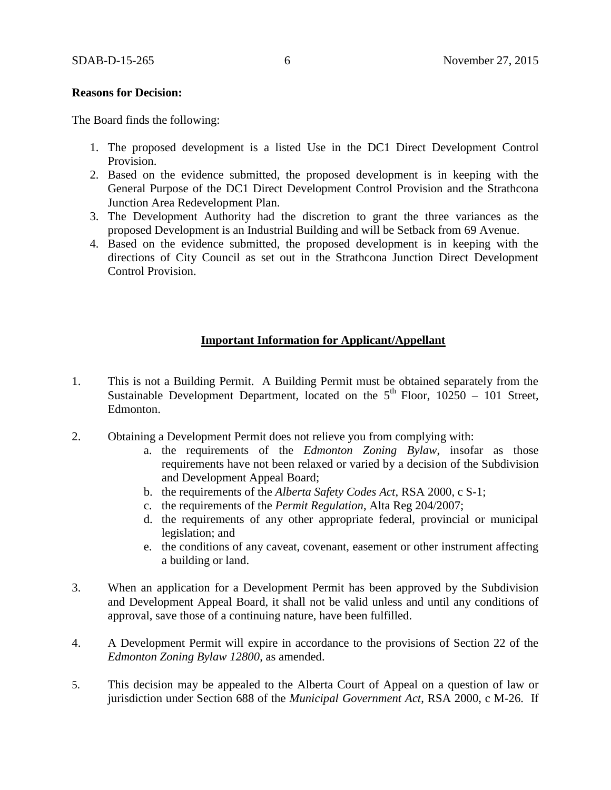#### **Reasons for Decision:**

The Board finds the following:

- 1. The proposed development is a listed Use in the DC1 Direct Development Control Provision.
- 2. Based on the evidence submitted, the proposed development is in keeping with the General Purpose of the DC1 Direct Development Control Provision and the Strathcona Junction Area Redevelopment Plan.
- 3. The Development Authority had the discretion to grant the three variances as the proposed Development is an Industrial Building and will be Setback from 69 Avenue.
- 4. Based on the evidence submitted, the proposed development is in keeping with the directions of City Council as set out in the Strathcona Junction Direct Development Control Provision.

### **Important Information for Applicant/Appellant**

- 1. This is not a Building Permit. A Building Permit must be obtained separately from the Sustainable Development Department, located on the  $5<sup>th</sup>$  Floor, 10250 – 101 Street, Edmonton.
- 2. Obtaining a Development Permit does not relieve you from complying with:
	- a. the requirements of the *Edmonton Zoning Bylaw*, insofar as those requirements have not been relaxed or varied by a decision of the Subdivision and Development Appeal Board;
	- b. the requirements of the *Alberta Safety Codes Act*, RSA 2000, c S-1;
	- c. the requirements of the *Permit Regulation*, Alta Reg 204/2007;
	- d. the requirements of any other appropriate federal, provincial or municipal legislation; and
	- e. the conditions of any caveat, covenant, easement or other instrument affecting a building or land.
- 3. When an application for a Development Permit has been approved by the Subdivision and Development Appeal Board, it shall not be valid unless and until any conditions of approval, save those of a continuing nature, have been fulfilled.
- 4. A Development Permit will expire in accordance to the provisions of Section 22 of the *Edmonton Zoning Bylaw 12800*, as amended.
- 5. This decision may be appealed to the Alberta Court of Appeal on a question of law or jurisdiction under Section 688 of the *Municipal Government Act*, RSA 2000, c M-26. If